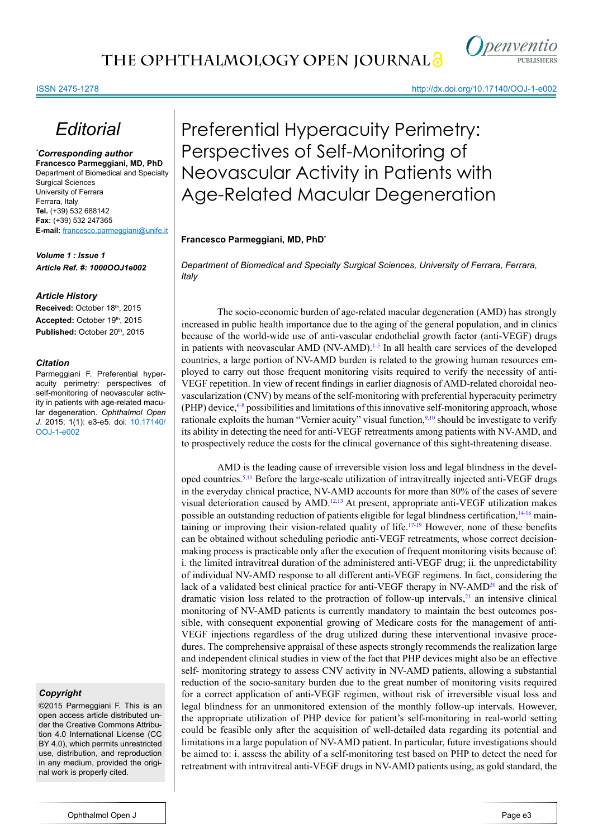### ISSN 2475-1278

## *Editorial*

*\* Corresponding author* **Francesco Parmeggiani, MD, PhD** Department of Biomedical and Specialty Surgical Sciences University of Ferrara Ferrara, Italy **Tel.** (+39) 532 688142 **Fax:** (+39) 532 247365 **E-mail:** francesco.parmeggiani@unife.it

*Volume 1 : Issue 1 Article Ref. #: 1000OOJ1e002*

#### *Article History*

Received: October 18th, 2015 Accepted: October 19th, 2015 Published: October 20<sup>th</sup>, 2015

#### *Citation*

Parmeggiani F. Preferential hyperacuity perimetry: perspectives of self-monitoring of neovascular activity in patients with age-related macular degeneration. *Ophthalmol Open J*. 2015; 1(1): e3-e5. doi: [10.17140/](http://openventio.org/Volume1_Issue1/Preferential_Hyperacuity_Perimetry_Perspectives_of_Self_Monitoring_of_Neovascular_Activity_in_Patients_with_Age_Related_Macular_Degeneration_OOJ_1_e002.pdf) [OOJ-1-e002](http://openventio.org/Volume1_Issue1/Preferential_Hyperacuity_Perimetry_Perspectives_of_Self_Monitoring_of_Neovascular_Activity_in_Patients_with_Age_Related_Macular_Degeneration_OOJ_1_e002.pdf)

#### *Copyright*

©2015 Parmeggiani F. This is an open access article distributed under the Creative Commons Attribution 4.0 International License (CC BY 4.0), which permits unrestricted use, distribution, and reproduction in any medium, provided the original work is properly cited.

http://dx.doi.org/10.17140/OOJ-1-e002

# Preferential Hyperacuity Perimetry: Perspectives of Self-Monitoring of Neovascular Activity in Patients with Age-Related Macular Degeneration

**Francesco Parmeggiani, MD, PhD\***

*Department of Biomedical and Specialty Surgical Sciences, University of Ferrara, Ferrara, Italy*

The socio-economic burden of age-related macular degeneration (AMD) has strongly increased in public health importance due to the aging of the general population, and in clinics because of the world-wide use of anti-vascular endothelial growth factor (anti-VEGF) drugs in patients with neovascular AMD (NV-AMD).<sup>1-5</sup> In all health care services of the developed countries, a large portion of NV-AMD burden is related to the growing human resources employed to carry out those frequent monitoring visits required to verify the necessity of anti-VEGF repetition. In view of recent findings in earlier diagnosis of AMD-related choroidal neovascularization (CNV) by means of the self-monitoring with preferential hyperacuity perimetry  $(PHP)$  device,  $6-8$  possibilities and limitations of this innovative self-monitoring approach, whose rationale exploits the human "Vernier acuity" visual function,<sup>9,10</sup> should be investigate to verify its ability in detecting the need for anti-VEGF retreatments among patients with NV-AMD, and to prospectively reduce the costs for the clinical governance of this sight-threatening disease.

AMD is the leading cause of irreversible vision loss and legal blindness in the devel-oped countries.<sup>[5](#page-1-3),11</sup> Before the large-scale utilization of intravitreally injected anti-VEGF drugs in the everyday clinical practice, NV-AMD accounts for more than 80% of the cases of severe visual deterioration caused by AMD.<sup>12,13</sup> At present, appropriate anti-VEGF utilization makes possible an outstanding reduction of patients eligible for legal blindness certification,<sup>14-16</sup> main-taining or improving their vision-related quality of life.<sup>[17-19](#page-2-3)</sup> However, none of these benefits can be obtained without scheduling periodic anti-VEGF retreatments, whose correct decisionmaking process is practicable only after the execution of frequent monitoring visits because of: i. the limited intravitreal duration of the administered anti-VEGF drug; ii. the unpredictability of individual NV-AMD response to all different anti-VEGF regimens. In fact, considering the lack of a validated best clinical practice for anti-VEGF therapy in  $N<sub>V</sub>$ -AMD<sup>20</sup> and the risk of dramatic vision loss related to the protraction of follow-up intervals, $2<sup>1</sup>$  an intensive clinical monitoring of NV-AMD patients is currently mandatory to maintain the best outcomes possible, with consequent exponential growing of Medicare costs for the management of anti-VEGF injections regardless of the drug utilized during these interventional invasive procedures. The comprehensive appraisal of these aspects strongly recommends the realization large and independent clinical studies in view of the fact that PHP devices might also be an effective self- monitoring strategy to assess CNV activity in NV-AMD patients, allowing a substantial reduction of the socio-sanitary burden due to the great number of monitoring visits required for a correct application of anti-VEGF regimen, without risk of irreversible visual loss and legal blindness for an unmonitored extension of the monthly follow-up intervals. However, the appropriate utilization of PHP device for patient's self-monitoring in real-world setting could be feasible only after the acquisition of well-detailed data regarding its potential and limitations in a large population of NV-AMD patient. In particular, future investigations should be aimed to: i. assess the ability of a self-monitoring test based on PHP to detect the need for retreatment with intravitreal anti-VEGF drugs in NV-AMD patients using, as gold standard, the

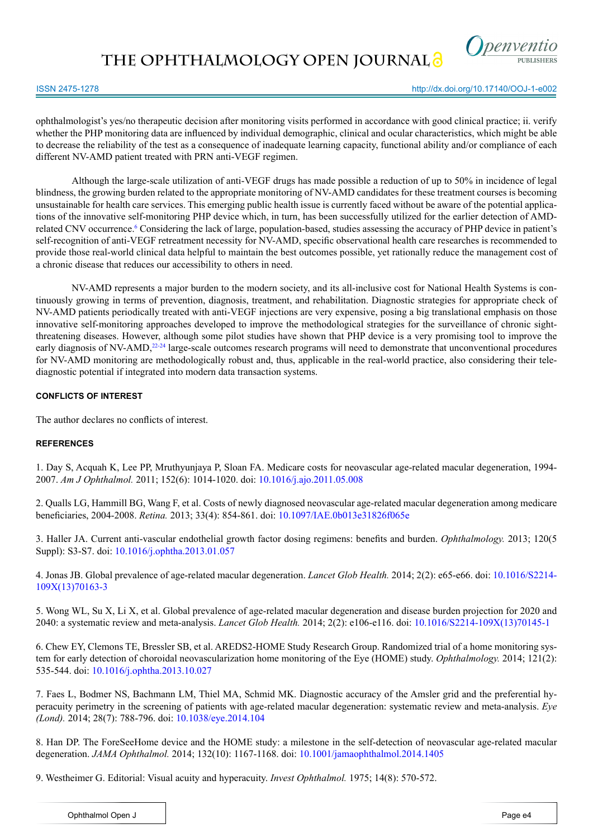**THE OPHTHALMOLOGY OPEN JOURNAL**



#### ISSN 2475-1278

http://dx.doi.org/10.17140/OOJ-1-e002

ophthalmologist's yes/no therapeutic decision after monitoring visits performed in accordance with good clinical practice; ii. verify whether the PHP monitoring data are influenced by individual demographic, clinical and ocular characteristics, which might be able to decrease the reliability of the test as a consequence of inadequate learning capacity, functional ability and/or compliance of each different NV-AMD patient treated with PRN anti-VEGF regimen.

Although the large-scale utilization of anti-VEGF drugs has made possible a reduction of up to 50% in incidence of legal blindness, the growing burden related to the appropriate monitoring of NV-AMD candidates for these treatment courses is becoming unsustainable for health care services. This emerging public health issue is currently faced without be aware of the potential applications of the innovative self-monitoring PHP device which, in turn, has been successfully utilized for the earlier detection of AMDrelated CNV occurrence.<sup>6</sup> Considering the lack of large, population-based, studies assessing the accuracy of PHP device in patient's self-recognition of anti-VEGF retreatment necessity for NV-AMD, specific observational health care researches is recommended to provide those real-world clinical data helpful to maintain the best outcomes possible, yet rationally reduce the management cost of a chronic disease that reduces our accessibility to others in need.

NV-AMD represents a major burden to the modern society, and its all-inclusive cost for National Health Systems is continuously growing in terms of prevention, diagnosis, treatment, and rehabilitation. Diagnostic strategies for appropriate check of NV-AMD patients periodically treated with anti-VEGF injections are very expensive, posing a big translational emphasis on those innovative self-monitoring approaches developed to improve the methodological strategies for the surveillance of chronic sightthreatening diseases. However, although some pilot studies have shown that PHP device is a very promising tool to improve the early diagnosis of NV-AMD,<sup>[22-24](#page-2-6)</sup> large-scale outcomes research programs will need to demonstrate that unconventional procedures for NV-AMD monitoring are methodologically robust and, thus, applicable in the real-world practice, also considering their telediagnostic potential if integrated into modern data transaction systems.

## **CONFLICTS OF INTEREST**

The author declares no conflicts of interest.

## **REFERENCES**

<span id="page-1-0"></span>1. Day S, Acquah K, Lee PP, Mruthyunjaya P, Sloan FA. Medicare costs for neovascular age-related macular degeneration, 1994- 2007. *Am J Ophthalmol.* 2011; 152(6): 1014-1020. doi: [10.1016/j.ajo.2011.05.008](http://www.ncbi.nlm.nih.gov/pubmed/21843875%20)

2. Qualls LG, Hammill BG, Wang F, et al. Costs of newly diagnosed neovascular age-related macular degeneration among medicare beneficiaries, 2004-2008. *Retina.* 2013; 33(4): 854-861. doi: [10.1097/IAE.0b013e31826f065e](http://www.ncbi.nlm.nih.gov/pubmed/23296047)

3. Haller JA. Current anti-vascular endothelial growth factor dosing regimens: benefits and burden. *Ophthalmology.* 2013; 120(5 Suppl): S3-S7. doi: [10.1016/j.ophtha.2013.01.057](http://www.ncbi.nlm.nih.gov/pubmed/23642784)

4. Jonas JB. Global prevalence of age-related macular degeneration. *Lancet Glob Health.* 2014; 2(2): e65-e66. doi: [10.1016/S2214-](http://www.ncbi.nlm.nih.gov/pubmed/25104656) [109X\(13\)70163-3](http://www.ncbi.nlm.nih.gov/pubmed/25104656) 

<span id="page-1-3"></span>5. Wong WL, Su X, Li X, et al. Global prevalence of age-related macular degeneration and disease burden projection for 2020 and 2040: a systematic review and meta-analysis. *Lancet Glob Health.* 2014; 2(2): e106-e116. doi: [10.1016/S2214-109X\(13\)70145-1](http://www.thelancet.com/journals/langlo/article/PIIS2214-109X%2813%2970145-1/abstract)

<span id="page-1-1"></span>6. Chew EY, Clemons TE, Bressler SB, et al. AREDS2-HOME Study Research Group. Randomized trial of a home monitoring system for early detection of choroidal neovascularization home monitoring of the Eye (HOME) study. *Ophthalmology.* 2014; 121(2): 535-544. doi: [10.1016/j.ophtha.2013.10.027](http://www.ncbi.nlm.nih.gov/pubmed/24211172)

7. Faes L, Bodmer NS, Bachmann LM, Thiel MA, Schmid MK. Diagnostic accuracy of the Amsler grid and the preferential hyperacuity perimetry in the screening of patients with age-related macular degeneration: systematic review and meta-analysis. *Eye (Lond).* 2014; 28(7): 788-796. doi: [10.1038/eye.2014.104](http://www.ncbi.nlm.nih.gov/pubmed/24788016)

8. Han DP. The ForeSeeHome device and the HOME study: a milestone in the self-detection of neovascular age-related macular degeneration. *JAMA Ophthalmol.* 2014; 132(10): 1167-1168. doi: [10.1001/jamaophthalmol.2014.1405](http://www.ncbi.nlm.nih.gov/pubmed/25058876)

<span id="page-1-2"></span>9. Westheimer G. Editorial: Visual acuity and hyperacuity. *Invest Ophthalmol.* 1975; 14(8): 570-572.